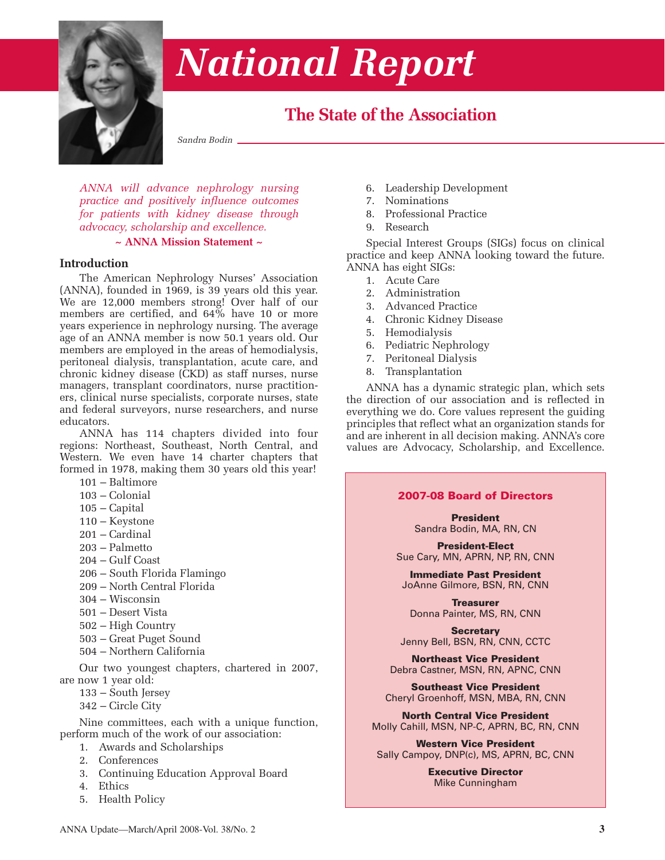

# *National Report*

# **The State of the Association**

*Sandra Bodin*

*ANNA will advance nephrology nursing practice and positively influence outcomes for patients with kidney disease through advocacy, scholarship and excellence.*

#### **~ ANNA Mission Statement ~**

#### **Introduction**

The American Nephrology Nurses' Association (ANNA), founded in 1969, is 39 years old this year. We are 12,000 members strong! Over half of our members are certified, and 64% have 10 or more years experience in nephrology nursing. The average age of an ANNA member is now 50.1 years old. Our members are employed in the areas of hemodialysis, peritoneal dialysis, transplantation, acute care, and chronic kidney disease (CKD) as staff nurses, nurse managers, transplant coordinators, nurse practitioners, clinical nurse specialists, corporate nurses, state and federal surveyors, nurse researchers, and nurse educators.

ANNA has 114 chapters divided into four regions: Northeast, Southeast, North Central, and Western. We even have 14 charter chapters that formed in 1978, making them 30 years old this year!

- 101 Baltimore
- 103 Colonial
- 105 Capital
- 110 Keystone
- 201 Cardinal
- 203 Palmetto
- 204 Gulf Coast
- 206 South Florida Flamingo
- 209 North Central Florida
- 304 Wisconsin
- 501 Desert Vista
- 502 High Country
- 503 Great Puget Sound
- 504 Northern California

Our two youngest chapters, chartered in 2007, are now 1 year old:

- 133 South Jersey
- 342 Circle City

Nine committees, each with a unique function, perform much of the work of our association:

- 1. Awards and Scholarships
	- 2. Conferences
- 3. Continuing Education Approval Board
- 4. Ethics
- 5. Health Policy
- 6. Leadership Development
- 7. Nominations
- 8. Professional Practice
- 9. Research

Special Interest Groups (SIGs) focus on clinical practice and keep ANNA looking toward the future. ANNA has eight SIGs:

- 1. Acute Care
- 2. Administration
- 3. Advanced Practice
- 4. Chronic Kidney Disease
- 5. Hemodialysis
- 6. Pediatric Nephrology
- 7. Peritoneal Dialysis
- 8. Transplantation

ANNA has a dynamic strategic plan, which sets the direction of our association and is reflected in everything we do. Core values represent the guiding principles that reflect what an organization stands for and are inherent in all decision making. ANNA's core values are Advocacy, Scholarship, and Excellence.

#### **2007-08 Board of Directors**

**President** Sandra Bodin, MA, RN, CN

**President-Elect** Sue Cary, MN, APRN, NP, RN, CNN

**Immediate Past President** JoAnne Gilmore, BSN, RN, CNN

**Treasurer** Donna Painter, MS, RN, CNN

**Secretary** Jenny Bell, BSN, RN, CNN, CCTC

**Northeast Vice President** Debra Castner, MSN, RN, APNC, CNN

**Southeast Vice President** Cheryl Groenhoff, MSN, MBA, RN, CNN

**North Central Vice President** Molly Cahill, MSN, NP-C, APRN, BC, RN, CNN

**Western Vice President** Sally Campoy, DNP(c), MS, APRN, BC, CNN

> **Executive Director** Mike Cunningham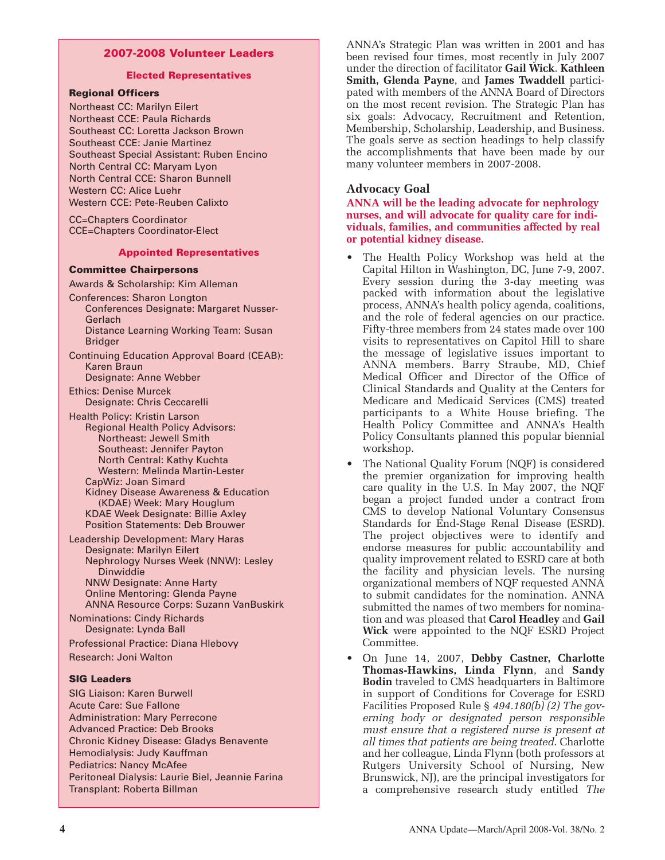#### **2007-2008 Volunteer Leaders**

#### **Elected Representatives**

#### **Regional Officers**

Northeast CC: Marilyn Eilert Northeast CCE: Paula Richards Southeast CC: Loretta Jackson Brown Southeast CCE: Janie Martinez Southeast Special Assistant: Ruben Encino North Central CC: Maryam Lyon North Central CCE: Sharon Bunnell Western CC: Alice Luehr Western CCE: Pete-Reuben Calixto

CC=Chapters Coordinator CCE=Chapters Coordinator-Elect

#### **Appointed Representatives**

#### **Committee Chairpersons**

- Awards & Scholarship: Kim Alleman
- Conferences: Sharon Longton
	- Conferences Designate: Margaret Nusser-Gerlach Distance Learning Working Team: Susan
	- Bridger
- Continuing Education Approval Board (CEAB): Karen Braun

Designate: Anne Webber

- Ethics: Denise Murcek Designate: Chris Ceccarelli
- Health Policy: Kristin Larson Regional Health Policy Advisors: Northeast: Jewell Smith Southeast: Jennifer Payton North Central: Kathy Kuchta Western: Melinda Martin-Lester
	- CapWiz: Joan Simard Kidney Disease Awareness & Education (KDAE) Week: Mary Houglum KDAE Week Designate: Billie Axley Position Statements: Deb Brouwer
- Leadership Development: Mary Haras Designate: Marilyn Eilert Nephrology Nurses Week (NNW): Lesley Dinwiddie NNW Designate: Anne Harty

Online Mentoring: Glenda Payne ANNA Resource Corps: Suzann VanBuskirk

Nominations: Cindy Richards Designate: Lynda Ball

Professional Practice: Diana Hlebovy Research: Joni Walton

#### **SIG Leaders**

SIG Liaison: Karen Burwell Acute Care: Sue Fallone Administration: Mary Perrecone Advanced Practice: Deb Brooks Chronic Kidney Disease: Gladys Benavente Hemodialysis: Judy Kauffman Pediatrics: Nancy McAfee Peritoneal Dialysis: Laurie Biel, Jeannie Farina Transplant: Roberta Billman

ANNA's Strategic Plan was written in 2001 and has been revised four times, most recently in July 2007 under the direction of facilitator **Gail Wick**. **Kathleen Smith, Glenda Payne**, and **James Twaddell** participated with members of the ANNA Board of Directors on the most recent revision. The Strategic Plan has six goals: Advocacy, Recruitment and Retention, Membership, Scholarship, Leadership, and Business. The goals serve as section headings to help classify the accomplishments that have been made by our many volunteer members in 2007-2008.

#### **Advocacy Goal**

**ANNA will be the leading advocate for nephrology nurses, and will advocate for quality care for individuals, families, and communities affected by real or potential kidney disease.**

- The Health Policy Workshop was held at the Capital Hilton in Washington, DC, June 7-9, 2007. Every session during the 3-day meeting was packed with information about the legislative process, ANNA's health policy agenda, coalitions, and the role of federal agencies on our practice. Fifty-three members from 24 states made over 100 visits to representatives on Capitol Hill to share the message of legislative issues important to ANNA members. Barry Straube, MD, Chief Medical Officer and Director of the Office of Clinical Standards and Quality at the Centers for Medicare and Medicaid Services (CMS) treated participants to a White House briefing. The Health Policy Committee and ANNA's Health Policy Consultants planned this popular biennial workshop.
- The National Quality Forum (NQF) is considered the premier organization for improving health care quality in the U.S. In May 2007, the NQF began a project funded under a contract from CMS to develop National Voluntary Consensus Standards for End-Stage Renal Disease (ESRD). The project objectives were to identify and endorse measures for public accountability and quality improvement related to ESRD care at both the facility and physician levels. The nursing organizational members of NQF requested ANNA to submit candidates for the nomination. ANNA submitted the names of two members for nomination and was pleased that **Carol Headley** and **Gail Wick** were appointed to the NQF ESRD Project Committee.
- On June 14, 2007, **Debby Castner, Charlotte Thomas-Hawkins, Linda Flynn**, and **Sandy Bodin** traveled to CMS headquarters in Baltimore in support of Conditions for Coverage for ESRD Facilities Proposed Rule § *494.180(b) (2) The governing body or designated person responsible must ensure that a registered nurse is present at all times that patients are being treated*. Charlotte and her colleague, Linda Flynn (both professors at Rutgers University School of Nursing, New Brunswick, NJ), are the principal investigators for a comprehensive research study entitled *The*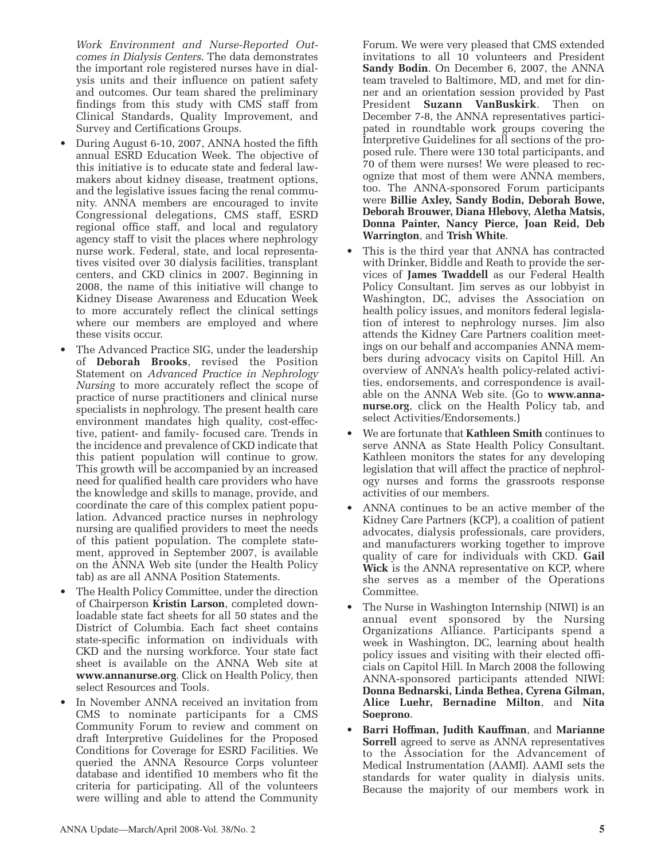*Work Environment and Nurse-Reported Outcomes in Dialysis Centers*. The data demonstrates the important role registered nurses have in dialysis units and their influence on patient safety and outcomes. Our team shared the preliminary findings from this study with CMS staff from Clinical Standards, Quality Improvement, and Survey and Certifications Groups.

- During August 6-10, 2007, ANNA hosted the fifth annual ESRD Education Week. The objective of this initiative is to educate state and federal lawmakers about kidney disease, treatment options, and the legislative issues facing the renal community. ANNA members are encouraged to invite Congressional delegations, CMS staff, ESRD regional office staff, and local and regulatory agency staff to visit the places where nephrology nurse work. Federal, state, and local representatives visited over 30 dialysis facilities, transplant centers, and CKD clinics in 2007. Beginning in 2008, the name of this initiative will change to Kidney Disease Awareness and Education Week to more accurately reflect the clinical settings where our members are employed and where these visits occur.
- The Advanced Practice SIG, under the leadership of **Deborah Brooks**, revised the Position Statement on *Advanced Practice in Nephrology Nursing* to more accurately reflect the scope of practice of nurse practitioners and clinical nurse specialists in nephrology. The present health care environment mandates high quality, cost-effective, patient- and family- focused care. Trends in the incidence and prevalence of CKD indicate that this patient population will continue to grow. This growth will be accompanied by an increased need for qualified health care providers who have the knowledge and skills to manage, provide, and coordinate the care of this complex patient population. Advanced practice nurses in nephrology nursing are qualified providers to meet the needs of this patient population. The complete statement, approved in September 2007, is available on the ANNA Web site (under the Health Policy tab) as are all ANNA Position Statements.
- The Health Policy Committee, under the direction of Chairperson **Kristin Larson**, completed downloadable state fact sheets for all 50 states and the District of Columbia. Each fact sheet contains state-specific information on individuals with CKD and the nursing workforce. Your state fact sheet is available on the ANNA Web site at **www.annanurse.org**. Click on Health Policy, then select Resources and Tools.
- In November ANNA received an invitation from CMS to nominate participants for a CMS Community Forum to review and comment on draft Interpretive Guidelines for the Proposed Conditions for Coverage for ESRD Facilities. We queried the ANNA Resource Corps volunteer database and identified 10 members who fit the criteria for participating. All of the volunteers were willing and able to attend the Community

Forum. We were very pleased that CMS extended invitations to all 10 volunteers and President **Sandy Bodin**. On December 6, 2007, the ANNA team traveled to Baltimore, MD, and met for dinner and an orientation session provided by Past President **Suzann VanBuskirk**. Then on December 7-8, the ANNA representatives participated in roundtable work groups covering the Interpretive Guidelines for all sections of the proposed rule. There were 130 total participants, and 70 of them were nurses! We were pleased to recognize that most of them were ANNA members, too. The ANNA-sponsored Forum participants were **Billie Axley, Sandy Bodin, Deborah Bowe, Deborah Brouwer, Diana Hlebovy, Aletha Matsis, Donna Painter, Nancy Pierce, Joan Reid, Deb Warrington**, and **Trish White**.

- This is the third year that ANNA has contracted with Drinker, Biddle and Reath to provide the services of **James Twaddell** as our Federal Health Policy Consultant. Jim serves as our lobbyist in Washington, DC, advises the Association on health policy issues, and monitors federal legislation of interest to nephrology nurses. Jim also attends the Kidney Care Partners coalition meetings on our behalf and accompanies ANNA members during advocacy visits on Capitol Hill. An overview of ANNA's health policy-related activities, endorsements, and correspondence is available on the ANNA Web site. (Go to **www.annanurse.org**, click on the Health Policy tab, and select Activities/Endorsements.)
- We are fortunate that **Kathleen Smith** continues to serve ANNA as State Health Policy Consultant. Kathleen monitors the states for any developing legislation that will affect the practice of nephrology nurses and forms the grassroots response activities of our members.
- ANNA continues to be an active member of the Kidney Care Partners (KCP), a coalition of patient advocates, dialysis professionals, care providers, and manufacturers working together to improve quality of care for individuals with CKD. **Gail Wick** is the ANNA representative on KCP, where she serves as a member of the Operations Committee.
- The Nurse in Washington Internship (NIWI) is an annual event sponsored by the Nursing Organizations Alliance. Participants spend a week in Washington, DC, learning about health policy issues and visiting with their elected officials on Capitol Hill. In March 2008 the following ANNA-sponsored participants attended NIWI: **Donna Bednarski, Linda Bethea, Cyrena Gilman, Alice Luehr, Bernadine Milton**, and **Nita Soeprono**.
- **Barri Hoffman, Judith Kauffman**, and **Marianne Sorrell** agreed to serve as ANNA representatives to the Association for the Advancement of Medical Instrumentation (AAMI). AAMI sets the standards for water quality in dialysis units. Because the majority of our members work in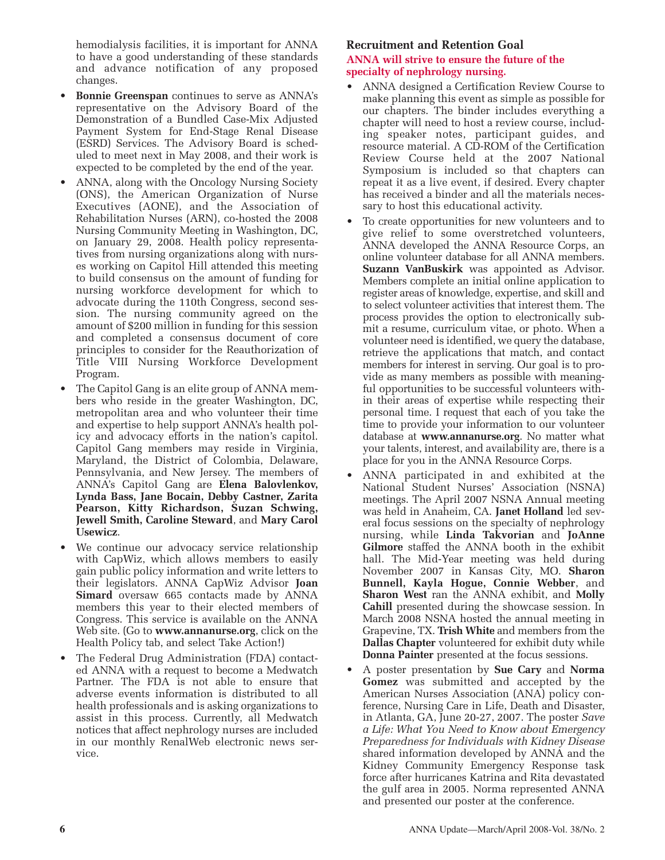hemodialysis facilities, it is important for ANNA to have a good understanding of these standards and advance notification of any proposed changes.

- **Bonnie Greenspan** continues to serve as ANNA's representative on the Advisory Board of the Demonstration of a Bundled Case-Mix Adjusted Payment System for End-Stage Renal Disease (ESRD) Services. The Advisory Board is scheduled to meet next in May 2008, and their work is expected to be completed by the end of the year.
- ANNA, along with the Oncology Nursing Society (ONS), the American Organization of Nurse Executives (AONE), and the Association of Rehabilitation Nurses (ARN), co-hosted the 2008 Nursing Community Meeting in Washington, DC, on January 29, 2008. Health policy representatives from nursing organizations along with nurses working on Capitol Hill attended this meeting to build consensus on the amount of funding for nursing workforce development for which to advocate during the 110th Congress, second session. The nursing community agreed on the amount of \$200 million in funding for this session and completed a consensus document of core principles to consider for the Reauthorization of Title VIII Nursing Workforce Development Program.
- The Capitol Gang is an elite group of ANNA members who reside in the greater Washington, DC, metropolitan area and who volunteer their time and expertise to help support ANNA's health policy and advocacy efforts in the nation's capitol. Capitol Gang members may reside in Virginia, Maryland, the District of Colombia, Delaware, Pennsylvania, and New Jersey. The members of ANNA's Capitol Gang are **Elena Balovlenkov, Lynda Bass, Jane Bocain, Debby Castner, Zarita Pearson, Kitty Richardson, Suzan Schwing, Jewell Smith, Caroline Steward**, and **Mary Carol Usewicz**.
- We continue our advocacy service relationship with CapWiz, which allows members to easily gain public policy information and write letters to their legislators. ANNA CapWiz Advisor **Joan Simard** oversaw 665 contacts made by ANNA members this year to their elected members of Congress. This service is available on the ANNA Web site. (Go to **www.annanurse.org**, click on the Health Policy tab, and select Take Action!)
- The Federal Drug Administration (FDA) contacted ANNA with a request to become a Medwatch Partner. The FDA is not able to ensure that adverse events information is distributed to all health professionals and is asking organizations to assist in this process. Currently, all Medwatch notices that affect nephrology nurses are included in our monthly RenalWeb electronic news service.

### **Recruitment and Retention Goal ANNA will strive to ensure the future of the specialty of nephrology nursing.**

- ANNA designed a Certification Review Course to make planning this event as simple as possible for our chapters. The binder includes everything a chapter will need to host a review course, including speaker notes, participant guides, and resource material. A CD-ROM of the Certification Review Course held at the 2007 National Symposium is included so that chapters can repeat it as a live event, if desired. Every chapter has received a binder and all the materials necessary to host this educational activity.
- To create opportunities for new volunteers and to give relief to some overstretched volunteers, ANNA developed the ANNA Resource Corps, an online volunteer database for all ANNA members. **Suzann VanBuskirk** was appointed as Advisor. Members complete an initial online application to register areas of knowledge, expertise, and skill and to select volunteer activities that interest them. The process provides the option to electronically submit a resume, curriculum vitae, or photo. When a volunteer need is identified, we query the database, retrieve the applications that match, and contact members for interest in serving. Our goal is to provide as many members as possible with meaningful opportunities to be successful volunteers within their areas of expertise while respecting their personal time. I request that each of you take the time to provide your information to our volunteer database at **www.annanurse.org**. No matter what your talents, interest, and availability are, there is a place for you in the ANNA Resource Corps.
- ANNA participated in and exhibited at the National Student Nurses' Association (NSNA) meetings. The April 2007 NSNA Annual meeting was held in Anaheim, CA. **Janet Holland** led several focus sessions on the specialty of nephrology nursing, while **Linda Takvorian** and **JoAnne Gilmore** staffed the ANNA booth in the exhibit hall. The Mid-Year meeting was held during November 2007 in Kansas City, MO. **Sharon Bunnell, Kayla Hogue, Connie Webber**, and **Sharon West** ran the ANNA exhibit, and **Molly Cahill** presented during the showcase session. In March 2008 NSNA hosted the annual meeting in Grapevine, TX. **Trish White** and members from the **Dallas Chapter** volunteered for exhibit duty while **Donna Painter** presented at the focus sessions.
- A poster presentation by **Sue Cary** and **Norma Gomez** was submitted and accepted by the American Nurses Association (ANA) policy conference, Nursing Care in Life, Death and Disaster, in Atlanta, GA, June 20-27, 2007. The poster *Save a Life: What You Need to Know about Emergency Preparedness for Individuals with Kidney Disease* shared information developed by ANNA and the Kidney Community Emergency Response task force after hurricanes Katrina and Rita devastated the gulf area in 2005. Norma represented ANNA and presented our poster at the conference.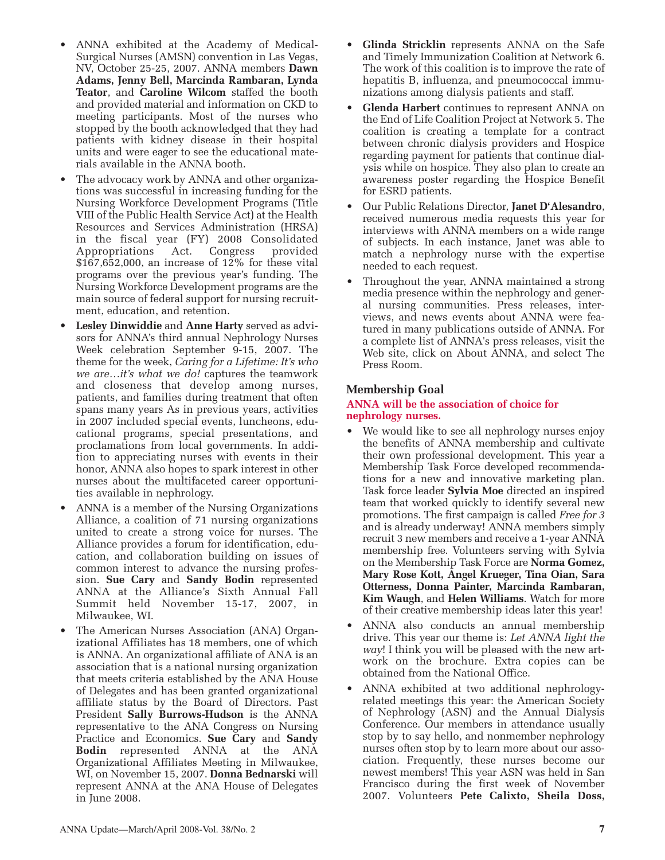- ANNA exhibited at the Academy of Medical-Surgical Nurses (AMSN) convention in Las Vegas, NV, October 25-25, 2007. ANNA members **Dawn Adams, Jenny Bell, Marcinda Rambaran, Lynda Teator**, and **Caroline Wilcom** staffed the booth and provided material and information on CKD to meeting participants. Most of the nurses who stopped by the booth acknowledged that they had patients with kidney disease in their hospital units and were eager to see the educational materials available in the ANNA booth.
- The advocacy work by ANNA and other organizations was successful in increasing funding for the Nursing Workforce Development Programs (Title VIII of the Public Health Service Act) at the Health Resources and Services Administration (HRSA) in the fiscal year (FY) 2008 Consolidated Appropriations Act. Congress provided \$167,652,000, an increase of 12% for these vital programs over the previous year's funding. The Nursing Workforce Development programs are the main source of federal support for nursing recruitment, education, and retention.
- **Lesley Dinwiddie** and **Anne Harty** served as advisors for ANNA's third annual Nephrology Nurses Week celebration September 9-15, 2007. The theme for the week, *Caring for a Lifetime: It's who we are…it's what we do!* captures the teamwork and closeness that develop among nurses, patients, and families during treatment that often spans many years As in previous years, activities in 2007 included special events, luncheons, educational programs, special presentations, and proclamations from local governments. In addition to appreciating nurses with events in their honor, ANNA also hopes to spark interest in other nurses about the multifaceted career opportunities available in nephrology.
- ANNA is a member of the Nursing Organizations Alliance, a coalition of 71 nursing organizations united to create a strong voice for nurses. The Alliance provides a forum for identification, education, and collaboration building on issues of common interest to advance the nursing profession. **Sue Cary** and **Sandy Bodin** represented ANNA at the Alliance's Sixth Annual Fall Summit held November 15-17, 2007, in Milwaukee, WI.
- The American Nurses Association (ANA) Organizational Affiliates has 18 members, one of which is ANNA. An organizational affiliate of ANA is an association that is a national nursing organization that meets criteria established by the ANA House of Delegates and has been granted organizational affiliate status by the Board of Directors. Past President **Sally Burrows-Hudson** is the ANNA representative to the ANA Congress on Nursing Practice and Economics. **Sue Cary** and **Sandy Bodin** represented ANNA at the ANA Organizational Affiliates Meeting in Milwaukee, WI, on November 15, 2007. **Donna Bednarski** will represent ANNA at the ANA House of Delegates in June 2008.
- **Glinda Stricklin** represents ANNA on the Safe and Timely Immunization Coalition at Network 6. The work of this coalition is to improve the rate of hepatitis B, influenza, and pneumococcal immunizations among dialysis patients and staff.
- **Glenda Harbert** continues to represent ANNA on the End of Life Coalition Project at Network 5. The coalition is creating a template for a contract between chronic dialysis providers and Hospice regarding payment for patients that continue dialysis while on hospice. They also plan to create an awareness poster regarding the Hospice Benefit for ESRD patients.
- Our Public Relations Director, **Janet D'Alesandro**, received numerous media requests this year for interviews with ANNA members on a wide range of subjects. In each instance, Janet was able to match a nephrology nurse with the expertise needed to each request.
- Throughout the year, ANNA maintained a strong media presence within the nephrology and general nursing communities. Press releases, interviews, and news events about ANNA were featured in many publications outside of ANNA. For a complete list of ANNA's press releases, visit the Web site, click on About ANNA, and select The Press Room.

# **Membership Goal**

### **ANNA will be the association of choice for nephrology nurses.**

- We would like to see all nephrology nurses enjoy the benefits of ANNA membership and cultivate their own professional development. This year a Membership Task Force developed recommendations for a new and innovative marketing plan. Task force leader **Sylvia Moe** directed an inspired team that worked quickly to identify several new promotions. The first campaign is called *Free for 3* and is already underway! ANNA members simply recruit 3 new members and receive a 1-year ANNA membership free. Volunteers serving with Sylvia on the Membership Task Force are **Norma Gomez, Mary Rose Kott, Angel Krueger, Tina Oian, Sara Otterness, Donna Painter, Marcinda Rambaran, Kim Waugh**, and **Helen Williams**. Watch for more of their creative membership ideas later this year!
- ANNA also conducts an annual membership drive. This year our theme is: *Let ANNA light the way*! I think you will be pleased with the new artwork on the brochure. Extra copies can be obtained from the National Office.
- ANNA exhibited at two additional nephrologyrelated meetings this year: the American Society of Nephrology (ASN) and the Annual Dialysis Conference. Our members in attendance usually stop by to say hello, and nonmember nephrology nurses often stop by to learn more about our association. Frequently, these nurses become our newest members! This year ASN was held in San Francisco during the first week of November 2007. Volunteers **Pete Calixto, Sheila Doss,**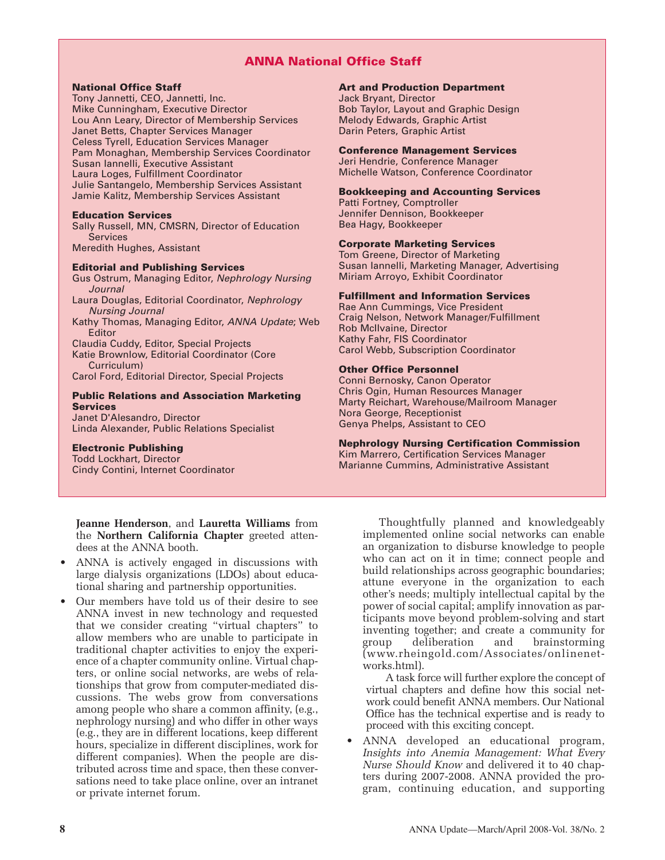# **ANNA National Office Staff**

#### **National Office Staff**

Tony Jannetti, CEO, Jannetti, Inc. Mike Cunningham, Executive Director Lou Ann Leary, Director of Membership Services Janet Betts, Chapter Services Manager Celess Tyrell, Education Services Manager Pam Monaghan, Membership Services Coordinator Susan Iannelli, Executive Assistant Laura Loges, Fulfillment Coordinator Julie Santangelo, Membership Services Assistant Jamie Kalitz, Membership Services Assistant

#### **Education Services**

Sally Russell, MN, CMSRN, Director of Education Services

Meredith Hughes, Assistant

#### **Editorial and Publishing Services**

Gus Ostrum, Managing Editor, Nephrology Nursing **Journal** Laura Douglas, Editorial Coordinator, Nephrology Nursing Journal Kathy Thomas, Managing Editor, ANNA Update; Web Editor Claudia Cuddy, Editor, Special Projects Katie Brownlow, Editorial Coordinator (Core Curriculum) Carol Ford, Editorial Director, Special Projects

#### **Public Relations and Association Marketing Services**

Janet D'Alesandro, Director Linda Alexander, Public Relations Specialist

# **Electronic Publishing**

Todd Lockhart, Director Cindy Contini, Internet Coordinator

**Jeanne Henderson**, and **Lauretta Williams** from the **Northern California Chapter** greeted attendees at the ANNA booth.

- ANNA is actively engaged in discussions with large dialysis organizations (LDOs) about educational sharing and partnership opportunities.
- Our members have told us of their desire to see ANNA invest in new technology and requested that we consider creating "virtual chapters" to allow members who are unable to participate in traditional chapter activities to enjoy the experience of a chapter community online. Virtual chapters, or online social networks, are webs of relationships that grow from computer-mediated discussions. The webs grow from conversations among people who share a common affinity, (e.g., nephrology nursing) and who differ in other ways (e.g., they are in different locations, keep different hours, specialize in different disciplines, work for different companies). When the people are distributed across time and space, then these conversations need to take place online, over an intranet or private internet forum.

#### **Art and Production Department**

Jack Bryant, Director Bob Taylor, Layout and Graphic Design Melody Edwards, Graphic Artist Darin Peters, Graphic Artist

#### **Conference Management Services**

Jeri Hendrie, Conference Manager Michelle Watson, Conference Coordinator

#### **Bookkeeping and Accounting Services**

Patti Fortney, Comptroller Jennifer Dennison, Bookkeeper Bea Hagy, Bookkeeper

**Corporate Marketing Services**

Tom Greene, Director of Marketing Susan Iannelli, Marketing Manager, Advertising Miriam Arroyo, Exhibit Coordinator

#### **Fulfillment and Information Services**

Rae Ann Cummings, Vice President Craig Nelson, Network Manager/Fulfillment Rob McIlvaine, Director Kathy Fahr, FIS Coordinator Carol Webb, Subscription Coordinator

#### **Other Office Personnel**

Conni Bernosky, Canon Operator Chris Ogin, Human Resources Manager Marty Reichart, Warehouse/Mailroom Manager Nora George, Receptionist Genya Phelps, Assistant to CEO

#### **Nephrology Nursing Certification Commission**

Kim Marrero, Certification Services Manager Marianne Cummins, Administrative Assistant

> Thoughtfully planned and knowledgeably implemented online social networks can enable an organization to disburse knowledge to people who can act on it in time; connect people and build relationships across geographic boundaries; attune everyone in the organization to each other's needs; multiply intellectual capital by the power of social capital; amplify innovation as participants move beyond problem-solving and start inventing together; and create a community for group deliberation and brainstorming (www.rheingold.com/Associates/onlinenetworks.html).

A task force will further explore the concept of virtual chapters and define how this social network could benefit ANNA members. Our National Office has the technical expertise and is ready to proceed with this exciting concept.

• ANNA developed an educational program, *Insights into Anemia Management: What Every Nurse Should Know* and delivered it to 40 chapters during 2007-2008. ANNA provided the program, continuing education, and supporting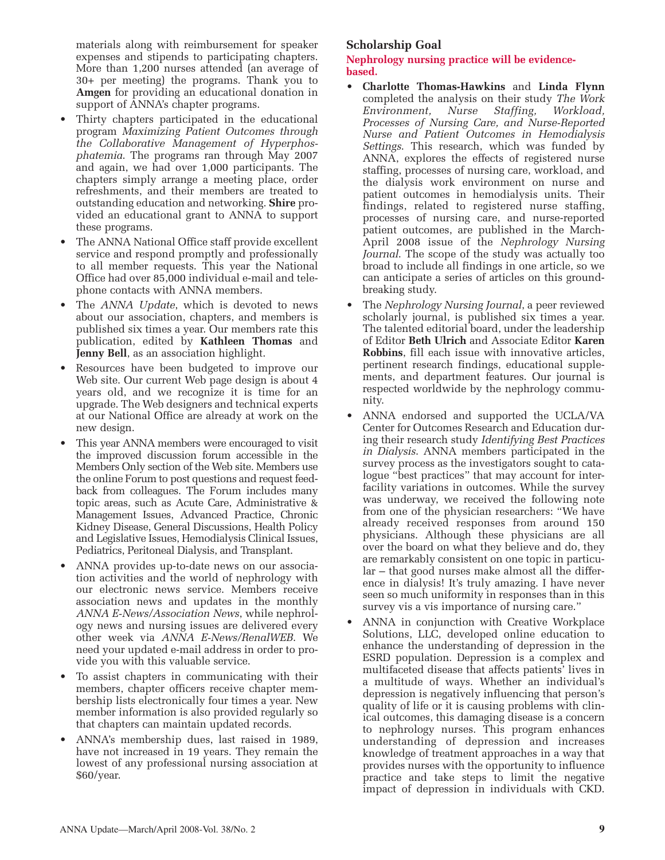materials along with reimbursement for speaker expenses and stipends to participating chapters. More than 1,200 nurses attended (an average of 30+ per meeting) the programs. Thank you to **Amgen** for providing an educational donation in support of ANNA's chapter programs.

- Thirty chapters participated in the educational program *Maximizing Patient Outcomes through the Collaborative Management of Hyperphosphatemia*. The programs ran through May 2007 and again, we had over 1,000 participants. The chapters simply arrange a meeting place, order refreshments, and their members are treated to outstanding education and networking. **Shire** provided an educational grant to ANNA to support these programs.
- The ANNA National Office staff provide excellent service and respond promptly and professionally to all member requests. This year the National Office had over 85,000 individual e-mail and telephone contacts with ANNA members.
- The *ANNA Update*, which is devoted to news about our association, chapters, and members is published six times a year. Our members rate this publication, edited by **Kathleen Thomas** and **Jenny Bell**, as an association highlight.
- Resources have been budgeted to improve our Web site. Our current Web page design is about 4 years old, and we recognize it is time for an upgrade. The Web designers and technical experts at our National Office are already at work on the new design.
- This year ANNA members were encouraged to visit the improved discussion forum accessible in the Members Only section of the Web site. Members use the online Forum to post questions and request feedback from colleagues. The Forum includes many topic areas, such as Acute Care, Administrative & Management Issues, Advanced Practice, Chronic Kidney Disease, General Discussions, Health Policy and Legislative Issues, Hemodialysis Clinical Issues, Pediatrics, Peritoneal Dialysis, and Transplant.
- ANNA provides up-to-date news on our association activities and the world of nephrology with our electronic news service. Members receive association news and updates in the monthly *ANNA E-News/Association News*, while nephrology news and nursing issues are delivered every other week via *ANNA E-News/RenalWEB*. We need your updated e-mail address in order to provide you with this valuable service.
- To assist chapters in communicating with their members, chapter officers receive chapter membership lists electronically four times a year. New member information is also provided regularly so that chapters can maintain updated records.
- ANNA's membership dues, last raised in 1989, have not increased in 19 years. They remain the lowest of any professional nursing association at \$60/year.

# **Scholarship Goal**

**Nephrology nursing practice will be evidencebased.**

- **Charlotte Thomas-Hawkins** and **Linda Flynn** completed the analysis on their study *The Work Environment, Nurse Staffing, Workload, Processes of Nursing Care, and Nurse-Reported Nurse and Patient Outcomes in Hemodialysis Settings*. This research, which was funded by ANNA, explores the effects of registered nurse staffing, processes of nursing care, workload, and the dialysis work environment on nurse and patient outcomes in hemodialysis units. Their findings, related to registered nurse staffing, processes of nursing care, and nurse-reported patient outcomes, are published in the March-April 2008 issue of the *Nephrology Nursing Journal*. The scope of the study was actually too broad to include all findings in one article, so we can anticipate a series of articles on this groundbreaking study.
- The *Nephrology Nursing Journal*, a peer reviewed scholarly journal, is published six times a year. The talented editorial board, under the leadership of Editor **Beth Ulrich** and Associate Editor **Karen Robbins**, fill each issue with innovative articles, pertinent research findings, educational supplements, and department features. Our journal is respected worldwide by the nephrology community.
- ANNA endorsed and supported the UCLA/VA Center for Outcomes Research and Education during their research study *Identifying Best Practices in Dialysis*. ANNA members participated in the survey process as the investigators sought to catalogue "best practices" that may account for interfacility variations in outcomes. While the survey was underway, we received the following note from one of the physician researchers: "We have already received responses from around 150 physicians. Although these physicians are all over the board on what they believe and do, they are remarkably consistent on one topic in particular – that good nurses make almost all the difference in dialysis! It's truly amazing. I have never seen so much uniformity in responses than in this survey vis a vis importance of nursing care."
- ANNA in conjunction with Creative Workplace Solutions, LLC, developed online education to enhance the understanding of depression in the ESRD population. Depression is a complex and multifaceted disease that affects patients' lives in a multitude of ways. Whether an individual's depression is negatively influencing that person's quality of life or it is causing problems with clinical outcomes, this damaging disease is a concern to nephrology nurses. This program enhances understanding of depression and increases knowledge of treatment approaches in a way that provides nurses with the opportunity to influence practice and take steps to limit the negative impact of depression in individuals with CKD.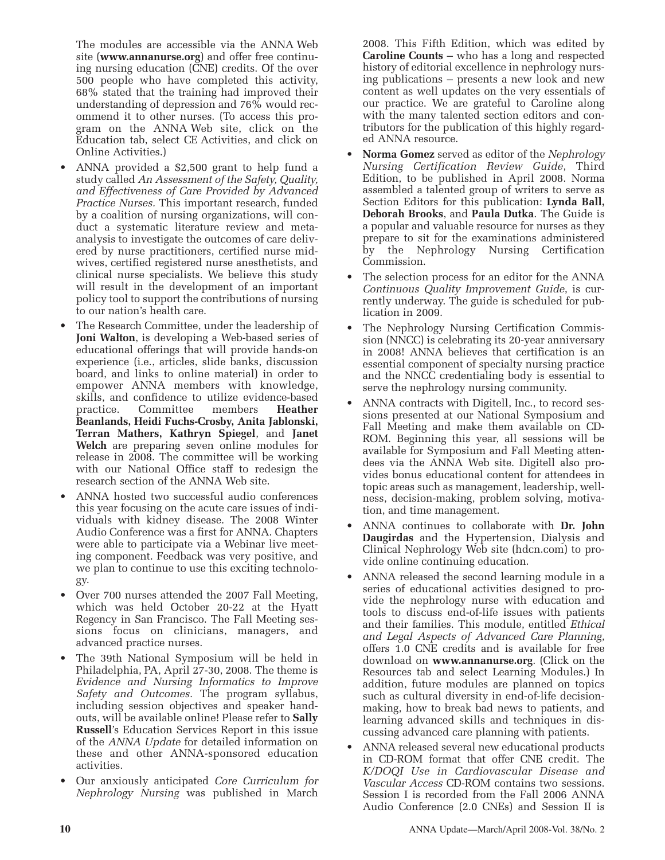The modules are accessible via the ANNA Web site (**www.annanurse.org**) and offer free continuing nursing education (CNE) credits. Of the over 500 people who have completed this activity, 68% stated that the training had improved their understanding of depression and 76% would recommend it to other nurses. (To access this program on the ANNA Web site, click on the Education tab, select CE Activities, and click on Online Activities.)

- ANNA provided a \$2,500 grant to help fund a study called *An Assessment of the Safety, Quality, and Effectiveness of Care Provided by Advanced Practice Nurses.* This important research, funded by a coalition of nursing organizations, will conduct a systematic literature review and metaanalysis to investigate the outcomes of care delivered by nurse practitioners, certified nurse midwives, certified registered nurse anesthetists, and clinical nurse specialists. We believe this study will result in the development of an important policy tool to support the contributions of nursing to our nation's health care.
- The Research Committee, under the leadership of **Joni Walton**, is developing a Web-based series of educational offerings that will provide hands-on experience (i.e., articles, slide banks, discussion board, and links to online material) in order to empower ANNA members with knowledge, skills, and confidence to utilize evidence-based practice. Committee members **Heather Beanlands, Heidi Fuchs-Crosby, Anita Jablonski, Terran Mathers, Kathryn Spiegel**, and **Janet Welch** are preparing seven online modules for release in 2008. The committee will be working with our National Office staff to redesign the research section of the ANNA Web site.
- ANNA hosted two successful audio conferences this year focusing on the acute care issues of individuals with kidney disease. The 2008 Winter Audio Conference was a first for ANNA. Chapters were able to participate via a Webinar live meeting component. Feedback was very positive, and we plan to continue to use this exciting technology.
- Over 700 nurses attended the 2007 Fall Meeting, which was held October 20-22 at the Hyatt Regency in San Francisco. The Fall Meeting sessions focus on clinicians, managers, and advanced practice nurses.
- The 39th National Symposium will be held in Philadelphia, PA, April 27-30, 2008. The theme is *Evidence and Nursing Informatics to Improve Safety and Outcomes.* The program syllabus, including session objectives and speaker handouts, will be available online! Please refer to **Sally Russell**'s Education Services Report in this issue of the *ANNA Update* for detailed information on these and other ANNA-sponsored education activities.
- Our anxiously anticipated *Core Curriculum for Nephrology Nursing* was published in March

2008. This Fifth Edition, which was edited by **Caroline Counts** – who has a long and respected history of editorial excellence in nephrology nursing publications – presents a new look and new content as well updates on the very essentials of our practice. We are grateful to Caroline along with the many talented section editors and contributors for the publication of this highly regarded ANNA resource.

- **Norma Gomez** served as editor of the *Nephrology Nursing Certification Review Guide*, Third Edition, to be published in April 2008. Norma assembled a talented group of writers to serve as Section Editors for this publication: **Lynda Ball, Deborah Brooks**, and **Paula Dutka**. The Guide is a popular and valuable resource for nurses as they prepare to sit for the examinations administered by the Nephrology Nursing Certification Commission.
- The selection process for an editor for the ANNA *Continuous Quality Improvement Guide*, is currently underway. The guide is scheduled for publication in 2009.
- The Nephrology Nursing Certification Commission (NNCC) is celebrating its 20-year anniversary in 2008! ANNA believes that certification is an essential component of specialty nursing practice and the NNCC credentialing body is essential to serve the nephrology nursing community.
- ANNA contracts with Digitell, Inc., to record sessions presented at our National Symposium and Fall Meeting and make them available on CD-ROM. Beginning this year, all sessions will be available for Symposium and Fall Meeting attendees via the ANNA Web site. Digitell also provides bonus educational content for attendees in topic areas such as management, leadership, wellness, decision-making, problem solving, motivation, and time management.
- ANNA continues to collaborate with **Dr. John Daugirdas** and the Hypertension, Dialysis and Clinical Nephrology Web site (hdcn.com) to provide online continuing education.
- ANNA released the second learning module in a series of educational activities designed to provide the nephrology nurse with education and tools to discuss end-of-life issues with patients and their families. This module, entitled *Ethical and Legal Aspects of Advanced Care Planning*, offers 1.0 CNE credits and is available for free download on **www.annanurse.org**. (Click on the Resources tab and select Learning Modules.) In addition, future modules are planned on topics such as cultural diversity in end-of-life decisionmaking, how to break bad news to patients, and learning advanced skills and techniques in discussing advanced care planning with patients.
- ANNA released several new educational products in CD-ROM format that offer CNE credit. The *K/DOQI Use in Cardiovascular Disease and Vascular Access* CD-ROM contains two sessions. Session I is recorded from the Fall 2006 ANNA Audio Conference (2.0 CNEs) and Session II is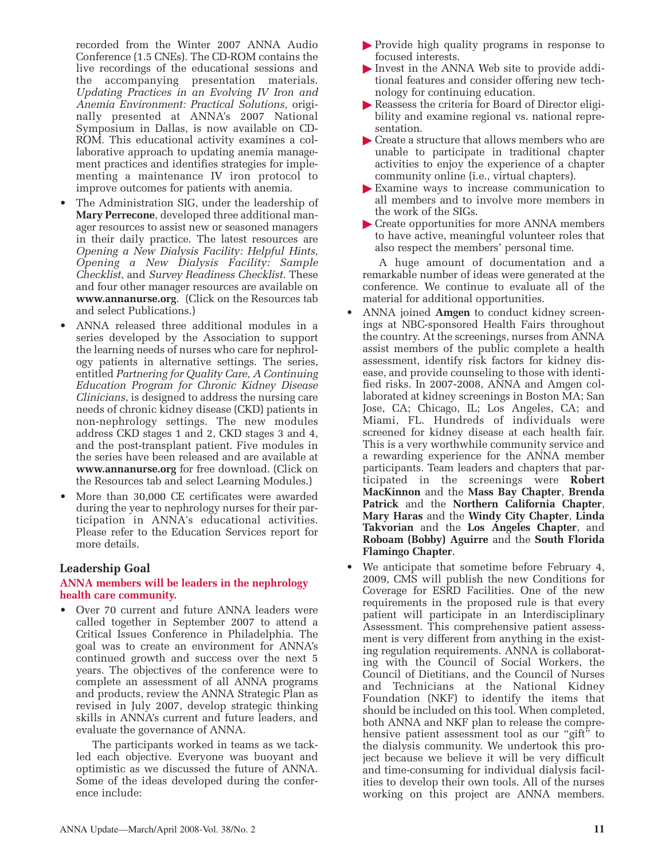recorded from the Winter 2007 ANNA Audio Conference (1.5 CNEs). The CD-ROM contains the live recordings of the educational sessions and the accompanying presentation materials. *Updating Practices in an Evolving IV Iron and Anemia Environment: Practical Solutions,* originally presented at ANNA's 2007 National Symposium in Dallas, is now available on CD-ROM. This educational activity examines a collaborative approach to updating anemia management practices and identifies strategies for implementing a maintenance IV iron protocol to improve outcomes for patients with anemia.

- The Administration SIG, under the leadership of **Mary Perrecone**, developed three additional manager resources to assist new or seasoned managers in their daily practice. The latest resources are *Opening a New Dialysis Facility: Helpful Hints, Opening a New Dialysis Facility: Sample Checklist*, and *Survey Readiness Checklist*. These and four other manager resources are available on **www.annanurse.org**. (Click on the Resources tab and select Publications.)
- ANNA released three additional modules in a series developed by the Association to support the learning needs of nurses who care for nephrology patients in alternative settings. The series, entitled *Partnering for Quality Care, A Continuing Education Program for Chronic Kidney Disease Clinicians*, is designed to address the nursing care needs of chronic kidney disease (CKD) patients in non-nephrology settings. The new modules address CKD stages 1 and 2, CKD stages 3 and 4, and the post-transplant patient. Five modules in the series have been released and are available at **www.annanurse.org** for free download. (Click on the Resources tab and select Learning Modules.)
- More than 30,000 CE certificates were awarded during the year to nephrology nurses for their participation in ANNA's educational activities. Please refer to the Education Services report for more details.

# **Leadership Goal**

#### **ANNA members will be leaders in the nephrology health care community.**

• Over 70 current and future ANNA leaders were called together in September 2007 to attend a Critical Issues Conference in Philadelphia. The goal was to create an environment for ANNA's continued growth and success over the next 5 years. The objectives of the conference were to complete an assessment of all ANNA programs and products, review the ANNA Strategic Plan as revised in July 2007, develop strategic thinking skills in ANNA's current and future leaders, and evaluate the governance of ANNA.

The participants worked in teams as we tackled each objective. Everyone was buoyant and optimistic as we discussed the future of ANNA. Some of the ideas developed during the conference include:

- Provide high quality programs in response to focused interests.
- Invest in the ANNA Web site to provide additional features and consider offering new technology for continuing education.
- Reassess the criteria for Board of Director eligibility and examine regional vs. national representation.
- Create a structure that allows members who are unable to participate in traditional chapter activities to enjoy the experience of a chapter community online (i.e., virtual chapters).
- Examine ways to increase communication to all members and to involve more members in the work of the SIGs.
- Create opportunities for more ANNA members to have active, meaningful volunteer roles that also respect the members' personal time.

A huge amount of documentation and a remarkable number of ideas were generated at the conference. We continue to evaluate all of the material for additional opportunities.

- ANNA joined **Amgen** to conduct kidney screenings at NBC-sponsored Health Fairs throughout the country. At the screenings, nurses from ANNA assist members of the public complete a health assessment, identify risk factors for kidney disease, and provide counseling to those with identified risks. In 2007-2008, ANNA and Amgen collaborated at kidney screenings in Boston MA; San Jose, CA; Chicago, IL; Los Angeles, CA; and Miami, FL. Hundreds of individuals were screened for kidney disease at each health fair. This is a very worthwhile community service and a rewarding experience for the ANNA member participants. Team leaders and chapters that participated in the screenings were **Robert MacKinnon** and the **Mass Bay Chapter**, **Brenda Patrick** and the **Northern California Chapter**, **Mary Haras** and the **Windy City Chapter**, **Linda Takvorian** and the **Los Angeles Chapter**, and **Roboam (Bobby) Aguirre** and the **South Florida Flamingo Chapter**.
- We anticipate that sometime before February 4, 2009, CMS will publish the new Conditions for Coverage for ESRD Facilities. One of the new requirements in the proposed rule is that every patient will participate in an Interdisciplinary Assessment. This comprehensive patient assessment is very different from anything in the existing regulation requirements. ANNA is collaborating with the Council of Social Workers, the Council of Dietitians, and the Council of Nurses and Technicians at the National Kidney Foundation (NKF) to identify the items that should be included on this tool. When completed, both ANNA and NKF plan to release the comprehensive patient assessment tool as our "gift" to the dialysis community. We undertook this project because we believe it will be very difficult and time-consuming for individual dialysis facilities to develop their own tools. All of the nurses working on this project are ANNA members.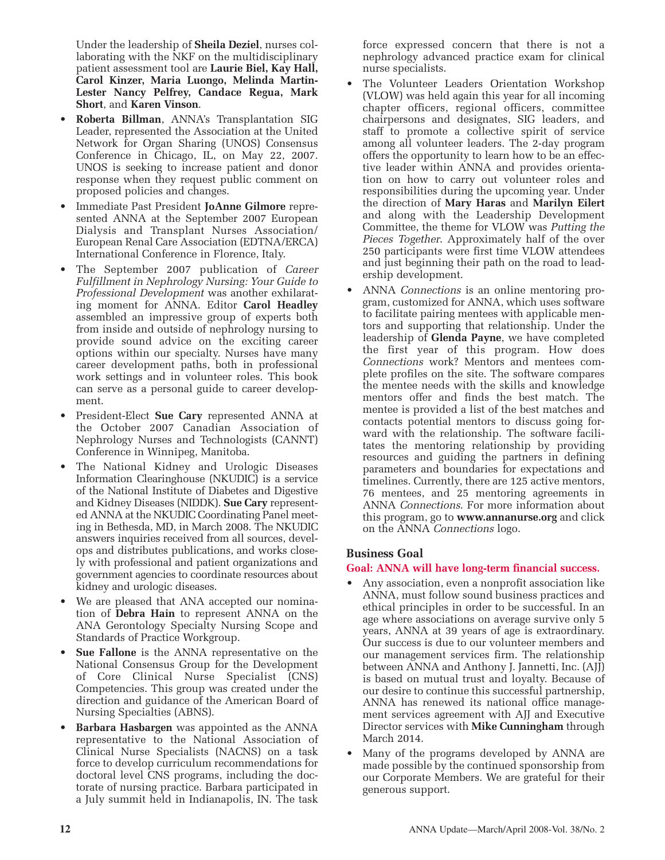Under the leadership of **Sheila Deziel**, nurses collaborating with the NKF on the multidisciplinary patient assessment tool are **Laurie Biel, Kay Hall, Carol Kinzer, Maria Luongo, Melinda Martin-Lester Nancy Pelfrey, Candace Regua, Mark Short**, and **Karen Vinson**.

- **Roberta Billman**, ANNA's Transplantation SIG Leader, represented the Association at the United Network for Organ Sharing (UNOS) Consensus Conference in Chicago, IL, on May 22, 2007. UNOS is seeking to increase patient and donor response when they request public comment on proposed policies and changes.
- Immediate Past President **JoAnne Gilmore** represented ANNA at the September 2007 European Dialysis and Transplant Nurses Association/ European Renal Care Association (EDTNA/ERCA) International Conference in Florence, Italy.
- The September 2007 publication of *Career Fulfillment in Nephrology Nursing: Your Guide to Professional Development* was another exhilarating moment for ANNA. Editor **Carol Headley** assembled an impressive group of experts both from inside and outside of nephrology nursing to provide sound advice on the exciting career options within our specialty. Nurses have many career development paths, both in professional work settings and in volunteer roles. This book can serve as a personal guide to career development.
- President-Elect **Sue Cary** represented ANNA at the October 2007 Canadian Association of Nephrology Nurses and Technologists (CANNT) Conference in Winnipeg, Manitoba.
- The National Kidney and Urologic Diseases Information Clearinghouse (NKUDIC) is a service of the National Institute of Diabetes and Digestive and Kidney Diseases (NIDDK). **Sue Cary** represented ANNA at the NKUDIC Coordinating Panel meeting in Bethesda, MD, in March 2008. The NKUDIC answers inquiries received from all sources, develops and distributes publications, and works closely with professional and patient organizations and government agencies to coordinate resources about kidney and urologic diseases.
- We are pleased that ANA accepted our nomination of **Debra Hain** to represent ANNA on the ANA Gerontology Specialty Nursing Scope and Standards of Practice Workgroup.
- **Sue Fallone** is the ANNA representative on the National Consensus Group for the Development of Core Clinical Nurse Specialist (CNS) Competencies. This group was created under the direction and guidance of the American Board of Nursing Specialties (ABNS).
- **Barbara Hasbargen** was appointed as the ANNA representative to the National Association of Clinical Nurse Specialists (NACNS) on a task force to develop curriculum recommendations for doctoral level CNS programs, including the doctorate of nursing practice. Barbara participated in a July summit held in Indianapolis, IN. The task

force expressed concern that there is not a nephrology advanced practice exam for clinical nurse specialists.

- The Volunteer Leaders Orientation Workshop (VLOW) was held again this year for all incoming chapter officers, regional officers, committee chairpersons and designates, SIG leaders, and staff to promote a collective spirit of service among all volunteer leaders. The 2-day program offers the opportunity to learn how to be an effective leader within ANNA and provides orientation on how to carry out volunteer roles and responsibilities during the upcoming year. Under the direction of **Mary Haras** and **Marilyn Eilert** and along with the Leadership Development Committee, the theme for VLOW was *Putting the Pieces Together*. Approximately half of the over 250 participants were first time VLOW attendees and just beginning their path on the road to leadership development.
- ANNA *Connections* is an online mentoring program, customized for ANNA, which uses software to facilitate pairing mentees with applicable mentors and supporting that relationship. Under the leadership of **Glenda Payne**, we have completed the first year of this program. How does *Connections* work? Mentors and mentees complete profiles on the site. The software compares the mentee needs with the skills and knowledge mentors offer and finds the best match. The mentee is provided a list of the best matches and contacts potential mentors to discuss going forward with the relationship. The software facilitates the mentoring relationship by providing resources and guiding the partners in defining parameters and boundaries for expectations and timelines. Currently, there are 125 active mentors, 76 mentees, and 25 mentoring agreements in ANNA *Connections*. For more information about this program, go to **www.annanurse.org** and click on the ANNA *Connections* logo.

# **Business Goal**

# **Goal: ANNA will have long-term financial success.**

- Any association, even a nonprofit association like ANNA, must follow sound business practices and ethical principles in order to be successful. In an age where associations on average survive only 5 years, ANNA at 39 years of age is extraordinary. Our success is due to our volunteer members and our management services firm. The relationship between ANNA and Anthony J. Jannetti, Inc. (AJJ) is based on mutual trust and loyalty. Because of our desire to continue this successful partnership, ANNA has renewed its national office management services agreement with AJJ and Executive Director services with **Mike Cunningham** through March 2014.
- Many of the programs developed by ANNA are made possible by the continued sponsorship from our Corporate Members. We are grateful for their generous support.